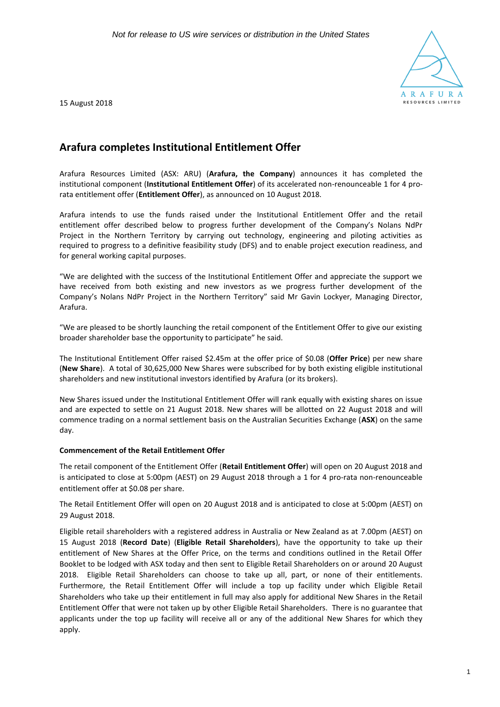

15 August 2018

# **Arafura completes Institutional Entitlement Offer**

Arafura Resources Limited (ASX: ARU) (**Arafura, the Company**) announces it has completed the institutional component (**Institutional Entitlement Offer**) of its accelerated non-renounceable 1 for 4 prorata entitlement offer (**Entitlement Offer**), as announced on 10 August 2018.

Arafura intends to use the funds raised under the Institutional Entitlement Offer and the retail entitlement offer described below to progress further development of the Company's Nolans NdPr Project in the Northern Territory by carrying out technology, engineering and piloting activities as required to progress to a definitive feasibility study (DFS) and to enable project execution readiness, and for general working capital purposes.

"We are delighted with the success of the Institutional Entitlement Offer and appreciate the support we have received from both existing and new investors as we progress further development of the Company's Nolans NdPr Project in the Northern Territory" said Mr Gavin Lockyer, Managing Director, Arafura.

"We are pleased to be shortly launching the retail component of the Entitlement Offer to give our existing broader shareholder base the opportunity to participate" he said.

The Institutional Entitlement Offer raised \$2.45m at the offer price of \$0.08 (**Offer Price**) per new share (**New Share**). A total of 30,625,000 New Shares were subscribed for by both existing eligible institutional shareholders and new institutional investors identified by Arafura (or its brokers).

New Shares issued under the Institutional Entitlement Offer will rank equally with existing shares on issue and are expected to settle on 21 August 2018. New shares will be allotted on 22 August 2018 and will commence trading on a normal settlement basis on the Australian Securities Exchange (**ASX**) on the same day.

# **Commencement of the Retail Entitlement Offer**

The retail component of the Entitlement Offer (**Retail Entitlement Offer**) will open on 20 August 2018 and is anticipated to close at 5:00pm (AEST) on 29 August 2018 through a 1 for 4 pro-rata non-renounceable entitlement offer at \$0.08 per share.

The Retail Entitlement Offer will open on 20 August 2018 and is anticipated to close at 5:00pm (AEST) on 29 August 2018.

Eligible retail shareholders with a registered address in Australia or New Zealand as at 7.00pm (AEST) on 15 August 2018 (**Record Date**) (**Eligible Retail Shareholders**), have the opportunity to take up their entitlement of New Shares at the Offer Price, on the terms and conditions outlined in the Retail Offer Booklet to be lodged with ASX today and then sent to Eligible Retail Shareholders on or around 20 August 2018. Eligible Retail Shareholders can choose to take up all, part, or none of their entitlements. Furthermore, the Retail Entitlement Offer will include a top up facility under which Eligible Retail Shareholders who take up their entitlement in full may also apply for additional New Shares in the Retail Entitlement Offer that were not taken up by other Eligible Retail Shareholders. There is no guarantee that applicants under the top up facility will receive all or any of the additional New Shares for which they apply.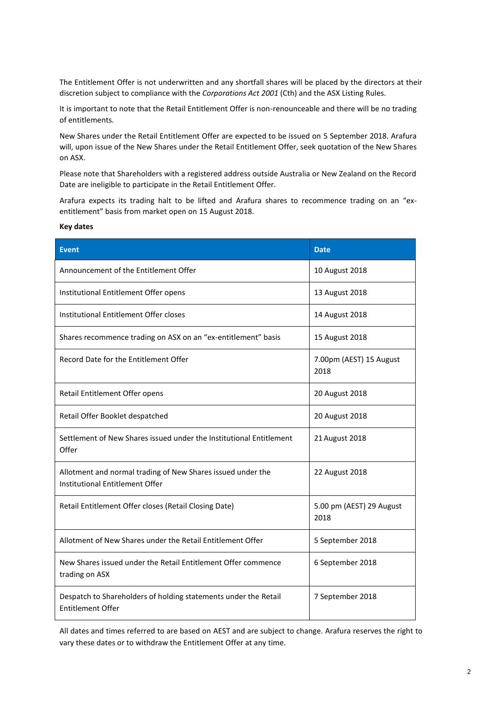The Entitlement Offer is not underwritten and any shortfall shares will be placed by the directors at their discretion subject to compliance with the *Corporations Act 2001* (Cth) and the ASX Listing Rules.

It is important to note that the Retail Entitlement Offer is non-renounceable and there will be no trading of entitlements.

New Shares under the Retail Entitlement Offer are expected to be issued on 5 September 2018. Arafura will, upon issue of the New Shares under the Retail Entitlement Offer, seek quotation of the New Shares on ASX.

Please note that Shareholders with a registered address outside Australia or New Zealand on the Record Date are ineligible to participate in the Retail Entitlement Offer.

Arafura expects its trading halt to be lifted and Arafura shares to recommence trading on an "exentitlement" basis from market open on 15 August 2018.

| <b>Event</b>                                                                                   | <b>Date</b>                      |
|------------------------------------------------------------------------------------------------|----------------------------------|
|                                                                                                |                                  |
| Announcement of the Entitlement Offer                                                          | 10 August 2018                   |
| Institutional Entitlement Offer opens                                                          | 13 August 2018                   |
| Institutional Entitlement Offer closes                                                         | 14 August 2018                   |
| Shares recommence trading on ASX on an "ex-entitlement" basis                                  | 15 August 2018                   |
| Record Date for the Entitlement Offer                                                          | 7.00pm (AEST) 15 August<br>2018  |
| Retail Entitlement Offer opens                                                                 | 20 August 2018                   |
| Retail Offer Booklet despatched                                                                | 20 August 2018                   |
| Settlement of New Shares issued under the Institutional Entitlement<br>Offer                   | 21 August 2018                   |
| Allotment and normal trading of New Shares issued under the<br>Institutional Entitlement Offer | 22 August 2018                   |
| Retail Entitlement Offer closes (Retail Closing Date)                                          | 5.00 pm (AEST) 29 August<br>2018 |
| Allotment of New Shares under the Retail Entitlement Offer                                     | 5 September 2018                 |
| New Shares issued under the Retail Entitlement Offer commence<br>trading on ASX                | 6 September 2018                 |
| Despatch to Shareholders of holding statements under the Retail<br><b>Entitlement Offer</b>    | 7 September 2018                 |

All dates and times referred to are based on AEST and are subject to change. Arafura reserves the right to vary these dates or to withdraw the Entitlement Offer at any time.

## **Key dates**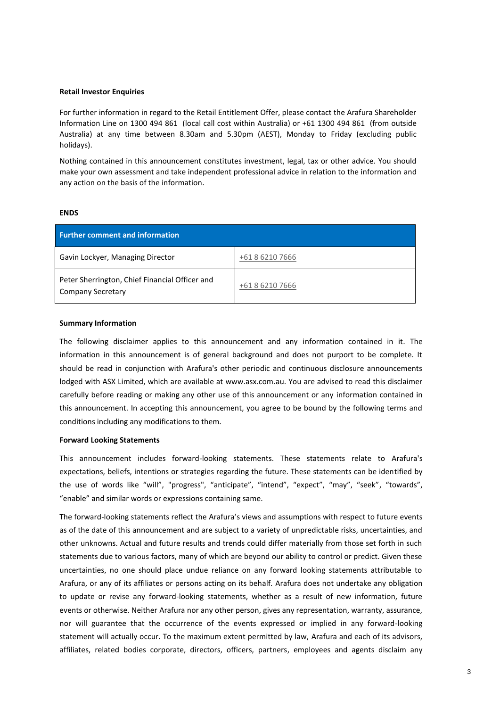### **Retail Investor Enquiries**

For further information in regard to the Retail Entitlement Offer, please contact the Arafura Shareholder Information Line on 1300 494 861 (local call cost within Australia) or +61 1300 494 861 (from outside Australia) at any time between 8.30am and 5.30pm (AEST), Monday to Friday (excluding public holidays).

Nothing contained in this announcement constitutes investment, legal, tax or other advice. You should make your own assessment and take independent professional advice in relation to the information and any action on the basis of the information.

## **ENDS**

| <b>Further comment and information</b>                                     |                 |  |
|----------------------------------------------------------------------------|-----------------|--|
| Gavin Lockyer, Managing Director                                           | +61 8 6210 7666 |  |
| Peter Sherrington, Chief Financial Officer and<br><b>Company Secretary</b> | +61 8 6210 7666 |  |

#### **Summary Information**

The following disclaimer applies to this announcement and any information contained in it. The information in this announcement is of general background and does not purport to be complete. It should be read in conjunction with Arafura's other periodic and continuous disclosure announcements lodged with ASX Limited, which are available at www.asx.com.au. You are advised to read this disclaimer carefully before reading or making any other use of this announcement or any information contained in this announcement. In accepting this announcement, you agree to be bound by the following terms and conditions including any modifications to them.

#### **Forward Looking Statements**

This announcement includes forward-looking statements. These statements relate to Arafura's expectations, beliefs, intentions or strategies regarding the future. These statements can be identified by the use of words like "will", "progress", "anticipate", "intend", "expect", "may", "seek", "towards", "enable" and similar words or expressions containing same.

The forward-looking statements reflect the Arafura's views and assumptions with respect to future events as of the date of this announcement and are subject to a variety of unpredictable risks, uncertainties, and other unknowns. Actual and future results and trends could differ materially from those set forth in such statements due to various factors, many of which are beyond our ability to control or predict. Given these uncertainties, no one should place undue reliance on any forward looking statements attributable to Arafura, or any of its affiliates or persons acting on its behalf. Arafura does not undertake any obligation to update or revise any forward-looking statements, whether as a result of new information, future events or otherwise. Neither Arafura nor any other person, gives any representation, warranty, assurance, nor will guarantee that the occurrence of the events expressed or implied in any forward-looking statement will actually occur. To the maximum extent permitted by law, Arafura and each of its advisors, affiliates, related bodies corporate, directors, officers, partners, employees and agents disclaim any